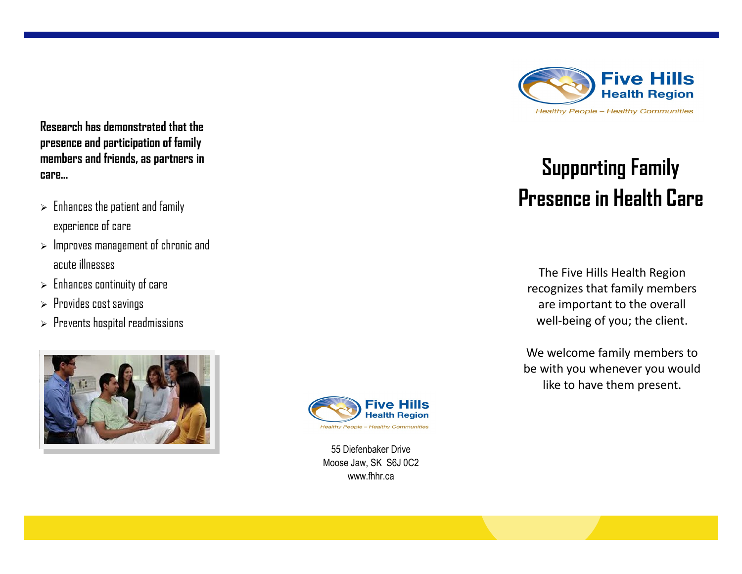**Research has demonstrated that the presence and participation of family members and friends, as partners in care…**

- $\triangleright$  Enhances the patient and family experience of care
- $>$  Improves management of chronic and acute illnesses
- $\triangleright$  Enhances continuity of care
- $\triangleright$  Provides cost savings
- $\triangleright$  Prevents hospital readmissions





55 Diefenbaker Drive Moose Jaw, SK S6J 0C2 www.fhhr.ca



# **Supporting Family Presence in Health Care**

The Five Hills Health Region recognizes that family members are important to the overall well-being of you; the client.

We welcome family members to be with you whenever you would like to have them present.